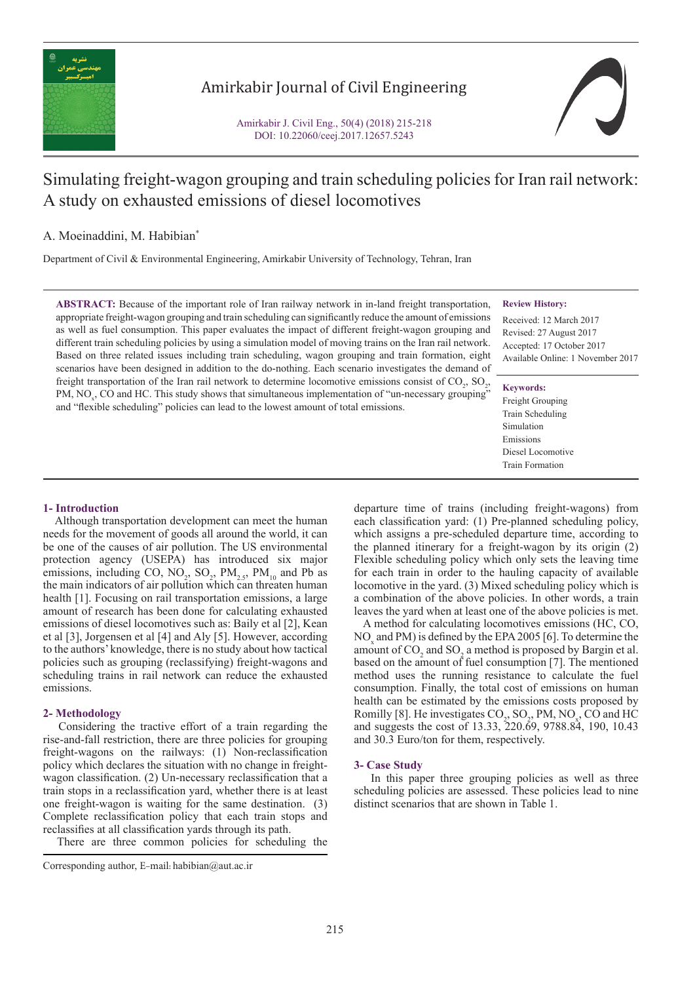

# Amirkabir Journal of Civil Engineering

Amirkabir J. Civil Eng., 50(4) (2018) 215-218 DOI: 10.22060/ceej.2017.12657.5243



# Simulating freight-wagon grouping and train scheduling policies for Iran rail network: A study on exhausted emissions of diesel locomotives

# A. Moeinaddini, M. Habibian\*

Department of Civil & Environmental Engineering, Amirkabir University of Technology, Tehran, Iran

**ABSTRACT:** Because of the important role of Iran railway network in in-land freight transportation, appropriate freight-wagon grouping and train scheduling can significantly reduce the amount of emissions as well as fuel consumption. This paper evaluates the impact of different freight-wagon grouping and different train scheduling policies by using a simulation model of moving trains on the Iran rail network. Based on three related issues including train scheduling, wagon grouping and train formation, eight scenarios have been designed in addition to the do-nothing. Each scenario investigates the demand of freight transportation of the Iran rail network to determine locomotive emissions consist of  $CO_2$ ,  $SO_2$ , PM,  $NO<sub>x</sub>$ , CO and HC. This study shows that simultaneous implementation of "un-necessary grouping" and "flexible scheduling" policies can lead to the lowest amount of total emissions.

## **Review History:**

Received: 12 March 2017 Revised: 27 August 2017 Accepted: 17 October 2017 Available Online: 1 November 2017

#### **Keywords:**

Freight Grouping Train Scheduling Simulation Emissions Diesel Locomotive Train Formation

## **1- Introduction**

 Although transportation development can meet the human needs for the movement of goods all around the world, it can be one of the causes of air pollution. The US environmental protection agency (USEPA) has introduced six major emissions, including CO,  $NO_2$ ,  $SO_2$ ,  $PM_{2.5}$ ,  $PM_{10}$  and Pb as the main indicators of air pollution which can threaten human health [1]. Focusing on rail transportation emissions, a large amount of research has been done for calculating exhausted emissions of diesel locomotives such as: Baily et al [2], Kean et al [3], Jorgensen et al [4] and Aly [5]. However, according to the authors' knowledge, there is no study about how tactical policies such as grouping (reclassifying) freight-wagons and scheduling trains in rail network can reduce the exhausted emissions.

## **2- Methodology**

 Considering the tractive effort of a train regarding the rise-and-fall restriction, there are three policies for grouping freight-wagons on the railways: (1) Non-reclassification policy which declares the situation with no change in freightwagon classification. (2) Un-necessary reclassification that a train stops in a reclassification yard, whether there is at least one freight-wagon is waiting for the same destination. (3) Complete reclassification policy that each train stops and reclassifies at all classification yards through its path.

There are three common policies for scheduling the

departure time of trains (including freight-wagons) from each classification yard: (1) Pre-planned scheduling policy, which assigns a pre-scheduled departure time, according to the planned itinerary for a freight-wagon by its origin (2) Flexible scheduling policy which only sets the leaving time for each train in order to the hauling capacity of available locomotive in the yard. (3) Mixed scheduling policy which is a combination of the above policies. In other words, a train leaves the yard when at least one of the above policies is met.

 A method for calculating locomotives emissions (HC, CO,  $NO<sub>x</sub>$  and PM) is defined by the EPA 2005 [6]. To determine the amount of  $CO_2$  and  $SO_2$  a method is proposed by Bargin et al. based on the amount of fuel consumption [7]. The mentioned method uses the running resistance to calculate the fuel consumption. Finally, the total cost of emissions on human health can be estimated by the emissions costs proposed by Romilly [8]. He investigates  $CO_2$ ,  $SO_2$ ,  $PM$ ,  $NO_x$ ,  $CO$  and  $HC$ and suggests the cost of 13.33, 220.69, 9788.84, 190, 10.43 and 30.3 Euro/ton for them, respectively.

## **3- Case Study**

 In this paper three grouping policies as well as three scheduling policies are assessed. These policies lead to nine distinct scenarios that are shown in Table 1.

Corresponding author, E-mail: habibian@aut.ac.ir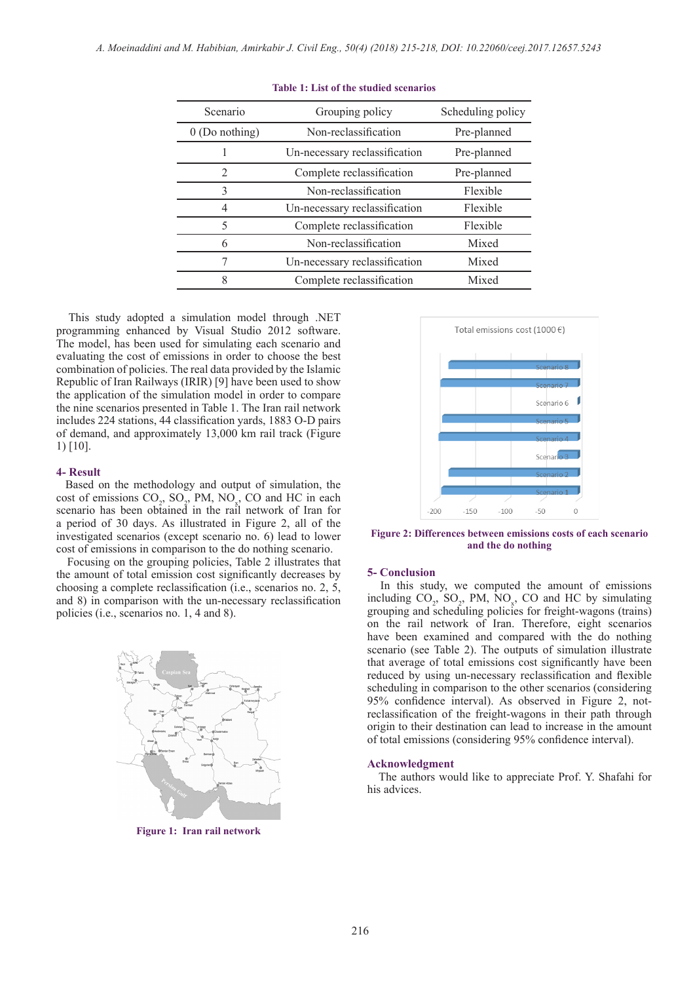| Scenario         | Grouping policy               | Scheduling policy |  |  |
|------------------|-------------------------------|-------------------|--|--|
| $0$ (Do nothing) | Non-reclassification          | Pre-planned       |  |  |
|                  | Un-necessary reclassification | Pre-planned       |  |  |
| $\mathfrak{D}$   | Complete reclassification     | Pre-planned       |  |  |
| 3                | Non-reclassification          | Flexible          |  |  |
| 4                | Un-necessary reclassification | Flexible          |  |  |
| 5                | Complete reclassification     | Flexible          |  |  |
| 6                | Non-reclassification          | Mixed             |  |  |
| 7                | Un-necessary reclassification | Mixed             |  |  |
| 8                | Complete reclassification     | Mixed             |  |  |

**Table 1: List of the studied scenarios**

 This study adopted a simulation model through .NET programming enhanced by Visual Studio 2012 software. The model, has been used for simulating each scenario and evaluating the cost of emissions in order to choose the best combination of policies. The real data provided by the Islamic Republic of Iran Railways (IRIR) [9] have been used to show the application of the simulation model in order to compare the nine scenarios presented in Table 1. The Iran rail network includes 224 stations, 44 classification yards, 1883 O-D pairs of demand, and approximately 13,000 km rail track (Figure 1) [10].

#### **4- Result**

 Based on the methodology and output of simulation, the cost of emissions  $CO_2$ ,  $SO_2$ , PM, NO<sub>x</sub>, CO and HC in each scenario has been obtained in the rail network of Iran for a period of 30 days. As illustrated in Figure 2, all of the investigated scenarios (except scenario no. 6) lead to lower cost of emissions in comparison to the do nothing scenario.

 Focusing on the grouping policies, Table 2 illustrates that the amount of total emission cost significantly decreases by choosing a complete reclassification (i.e., scenarios no. 2, 5, and 8) in comparison with the un-necessary reclassification policies (i.e., scenarios no. 1, 4 and 8).



**Figure 1: Iran rail network**



**Figure 2: Differences between emissions costs of each scenario and the do nothing**

### **5- Conclusion**

 In this study, we computed the amount of emissions including  $CO_2$ ,  $SO_2$ , PM,  $NO_x$ , CO and HC by simulating grouping and scheduling policies for freight-wagons (trains) on the rail network of Iran. Therefore, eight scenarios have been examined and compared with the do nothing scenario (see Table 2). The outputs of simulation illustrate that average of total emissions cost significantly have been reduced by using un-necessary reclassification and flexible scheduling in comparison to the other scenarios (considering 95% confidence interval). As observed in Figure 2, notreclassification of the freight-wagons in their path through origin to their destination can lead to increase in the amount of total emissions (considering 95% confidence interval).

#### **Acknowledgment**

 The authors would like to appreciate Prof. Y. Shafahi for his advices.